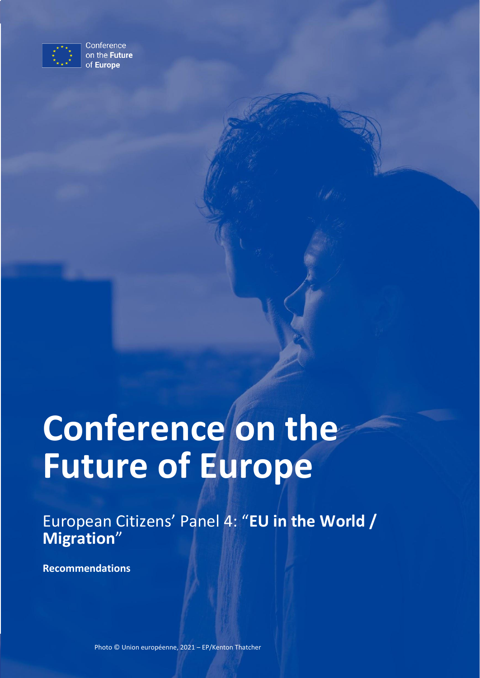

Conference on the Future of Europe

# **Conference on the Future of Europe**

European Citizens' Panel 4: "**EU in the World / Migration**"

**Recommendations**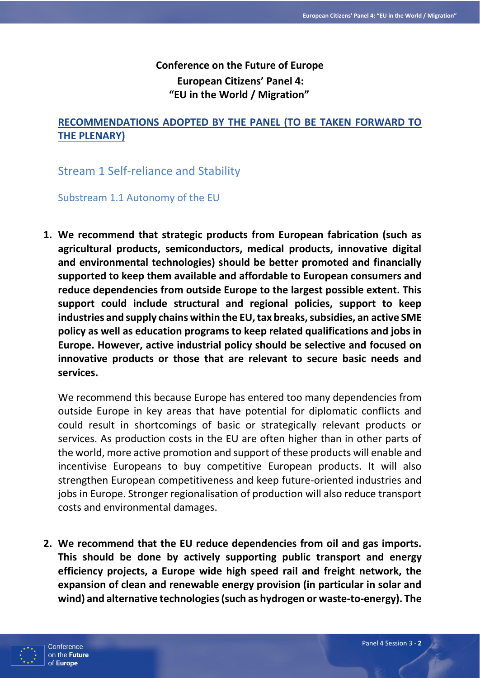# **Conference on the Future of Europe European Citizens' Panel 4: "EU in the World / Migration"**

# **RECOMMENDATIONS ADOPTED BY THE PANEL (TO BE TAKEN FORWARD TO THE PLENARY)**

Stream 1 Self-reliance and Stability

Substream 1.1 Autonomy of the EU

**1. We recommend that strategic products from European fabrication (such as agricultural products, semiconductors, medical products, innovative digital and environmental technologies) should be better promoted and financially supported to keep them available and affordable to European consumers and reduce dependencies from outside Europe to the largest possible extent. This support could include structural and regional policies, support to keep industries and supply chains within the EU, tax breaks, subsidies, an active SME policy as well as education programs to keep related qualifications and jobs in Europe. However, active industrial policy should be selective and focused on innovative products or those that are relevant to secure basic needs and services.**

We recommend this because Europe has entered too many dependencies from outside Europe in key areas that have potential for diplomatic conflicts and could result in shortcomings of basic or strategically relevant products or services. As production costs in the EU are often higher than in other parts of the world, more active promotion and support of these products will enable and incentivise Europeans to buy competitive European products. It will also strengthen European competitiveness and keep future-oriented industries and jobs in Europe. Stronger regionalisation of production will also reduce transport costs and environmental damages.

**2. We recommend that the EU reduce dependencies from oil and gas imports. This should be done by actively supporting public transport and energy efficiency projects, a Europe wide high speed rail and freight network, the expansion of clean and renewable energy provision (in particular in solar and wind) and alternative technologies (such as hydrogen or waste-to-energy). The** 

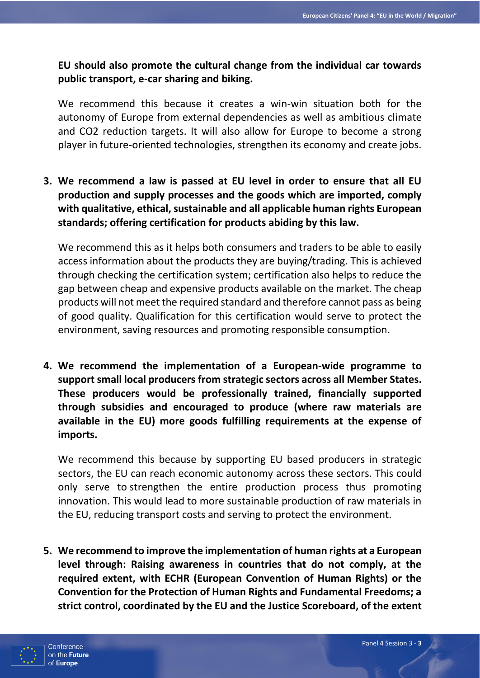**EU should also promote the cultural change from the individual car towards public transport, e-car sharing and biking.**

We recommend this because it creates a win-win situation both for the autonomy of Europe from external dependencies as well as ambitious climate and CO2 reduction targets. It will also allow for Europe to become a strong player in future-oriented technologies, strengthen its economy and create jobs.

**3. We recommend a law is passed at EU level in order to ensure that all EU production and supply processes and the goods which are imported, comply with qualitative, ethical, sustainable and all applicable human rights European standards; offering certification for products abiding by this law.**

We recommend this as it helps both consumers and traders to be able to easily access information about the products they are buying/trading. This is achieved through checking the certification system; certification also helps to reduce the gap between cheap and expensive products available on the market. The cheap products will not meet the required standard and therefore cannot pass as being of good quality. Qualification for this certification would serve to protect the environment, saving resources and promoting responsible consumption.

**4. We recommend the implementation of a European-wide programme to support small local producers from strategic sectors across all Member States. These producers would be professionally trained, financially supported through subsidies and encouraged to produce (where raw materials are available in the EU) more goods fulfilling requirements at the expense of imports.**

We recommend this because by supporting EU based producers in strategic sectors, the EU can reach economic autonomy across these sectors. This could only serve to strengthen the entire production process thus promoting innovation. This would lead to more sustainable production of raw materials in the EU, reducing transport costs and serving to protect the environment.

**5. We recommend to improve the implementation of human rights at a European level through: Raising awareness in countries that do not comply, at the required extent, with ECHR (European Convention of Human Rights) or the Convention for the Protection of Human Rights and Fundamental Freedoms; a strict control, coordinated by the EU and the Justice Scoreboard, of the extent** 

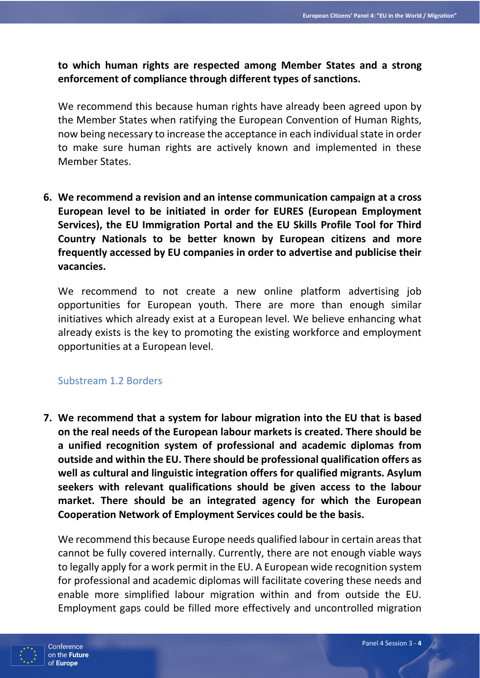**to which human rights are respected among Member States and a strong enforcement of compliance through different types of sanctions.**

We recommend this because human rights have already been agreed upon by the Member States when ratifying the European Convention of Human Rights, now being necessary to increase the acceptance in each individual state in order to make sure human rights are actively known and implemented in these Member States.

**6. We recommend a revision and an intense communication campaign at a cross European level to be initiated in order for EURES (European Employment Services), the EU Immigration Portal and the EU Skills Profile Tool for Third Country Nationals to be better known by European citizens and more frequently accessed by EU companies in order to advertise and publicise their vacancies.**

We recommend to not create a new online platform advertising job opportunities for European youth. There are more than enough similar initiatives which already exist at a European level. We believe enhancing what already exists is the key to promoting the existing workforce and employment opportunities at a European level.

## Substream 1.2 Borders

**7. We recommend that a system for labour migration into the EU that is based on the real needs of the European labour markets is created. There should be a unified recognition system of professional and academic diplomas from outside and within the EU. There should be professional qualification offers as well as cultural and linguistic integration offers for qualified migrants. Asylum seekers with relevant qualifications should be given access to the labour market. There should be an integrated agency for which the European Cooperation Network of Employment Services could be the basis.**

We recommend this because Europe needs qualified labour in certain areas that cannot be fully covered internally. Currently, there are not enough viable ways to legally apply for a work permit in the EU. A European wide recognition system for professional and academic diplomas will facilitate covering these needs and enable more simplified labour migration within and from outside the EU. Employment gaps could be filled more effectively and uncontrolled migration

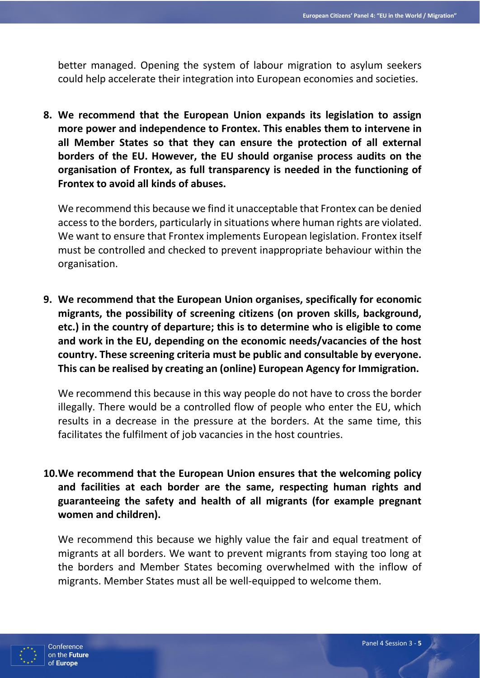better managed. Opening the system of labour migration to asylum seekers could help accelerate their integration into European economies and societies.

**8. We recommend that the European Union expands its legislation to assign more power and independence to Frontex. This enables them to intervene in all Member States so that they can ensure the protection of all external borders of the EU. However, the EU should organise process audits on the organisation of Frontex, as full transparency is needed in the functioning of Frontex to avoid all kinds of abuses.**

We recommend this because we find it unacceptable that Frontex can be denied access to the borders, particularly in situations where human rights are violated. We want to ensure that Frontex implements European legislation. Frontex itself must be controlled and checked to prevent inappropriate behaviour within the organisation.

**9. We recommend that the European Union organises, specifically for economic migrants, the possibility of screening citizens (on proven skills, background, etc.) in the country of departure; this is to determine who is eligible to come and work in the EU, depending on the economic needs/vacancies of the host country. These screening criteria must be public and consultable by everyone. This can be realised by creating an (online) European Agency for Immigration.**

We recommend this because in this way people do not have to cross the border illegally. There would be a controlled flow of people who enter the EU, which results in a decrease in the pressure at the borders. At the same time, this facilitates the fulfilment of job vacancies in the host countries.

**10.We recommend that the European Union ensures that the welcoming policy and facilities at each border are the same, respecting human rights and guaranteeing the safety and health of all migrants (for example pregnant women and children).**

We recommend this because we highly value the fair and equal treatment of migrants at all borders. We want to prevent migrants from staying too long at the borders and Member States becoming overwhelmed with the inflow of migrants. Member States must all be well-equipped to welcome them.

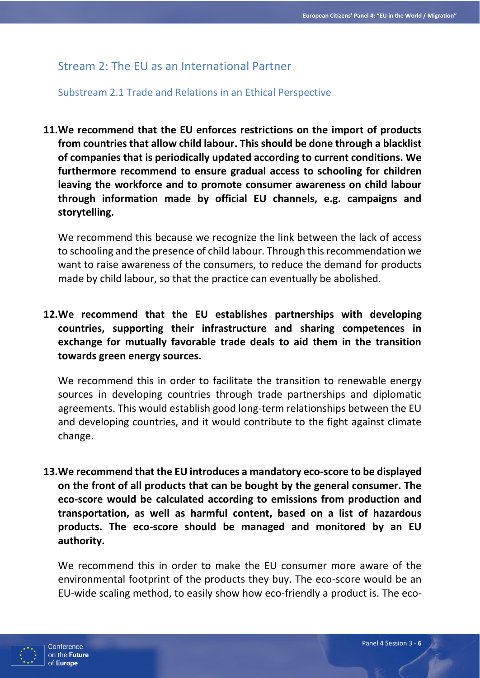## Stream 2: The EU as an International Partner

Substream 2.1 Trade and Relations in an Ethical Perspective

**11.We recommend that the EU enforces restrictions on the import of products from countries that allow child labour. This should be done through a blacklist of companies that is periodically updated according to current conditions. We furthermore recommend to ensure gradual access to schooling for children leaving the workforce and to promote consumer awareness on child labour through information made by official EU channels, e.g. campaigns and storytelling.**

We recommend this because we recognize the link between the lack of access to schooling and the presence of child labour. Through this recommendation we want to raise awareness of the consumers, to reduce the demand for products made by child labour, so that the practice can eventually be abolished.

**12.We recommend that the EU establishes partnerships with developing countries, supporting their infrastructure and sharing competences in exchange for mutually favorable trade deals to aid them in the transition towards green energy sources.**

We recommend this in order to facilitate the transition to renewable energy sources in developing countries through trade partnerships and diplomatic agreements. This would establish good long-term relationships between the EU and developing countries, and it would contribute to the fight against climate change.

**13.We recommend that the EU introduces a mandatory eco-score to be displayed on the front of all products that can be bought by the general consumer. The eco-score would be calculated according to emissions from production and transportation, as well as harmful content, based on a list of hazardous products. The eco-score should be managed and monitored by an EU authority.**

We recommend this in order to make the EU consumer more aware of the environmental footprint of the products they buy. The eco-score would be an EU-wide scaling method, to easily show how eco-friendly a product is. The eco-

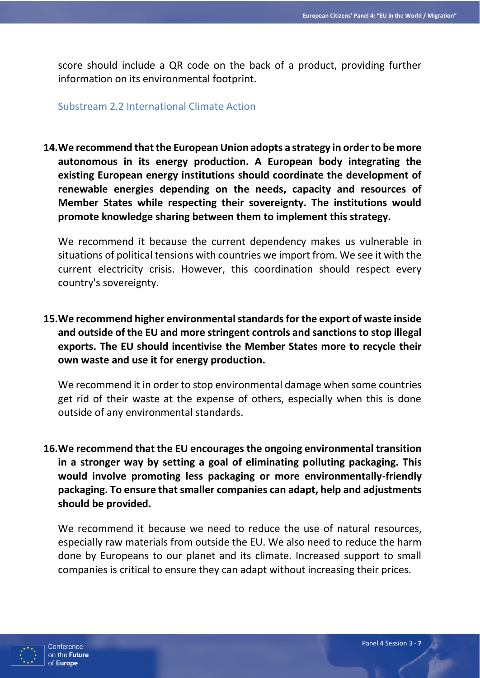score should include a QR code on the back of a product, providing further information on its environmental footprint.

Substream 2.2 International Climate Action

**14.We recommend that the European Union adopts a strategy in order to be more autonomous in its energy production. A European body integrating the existing European energy institutions should coordinate the development of renewable energies depending on the needs, capacity and resources of Member States while respecting their sovereignty. The institutions would promote knowledge sharing between them to implement this strategy.**

We recommend it because the current dependency makes us vulnerable in situations of political tensions with countries we import from. We see it with the current electricity crisis. However, this coordination should respect every country's sovereignty.

**15.We recommend higher environmental standards for the export of waste inside and outside of the EU and more stringent controls and sanctions to stop illegal exports. The EU should incentivise the Member States more to recycle their own waste and use it for energy production.**

We recommend it in order to stop environmental damage when some countries get rid of their waste at the expense of others, especially when this is done outside of any environmental standards.

**16.We recommend that the EU encourages the ongoing environmental transition in a stronger way by setting a goal of eliminating polluting packaging. This would involve promoting less packaging or more environmentally-friendly packaging. To ensure that smaller companies can adapt, help and adjustments should be provided.**

We recommend it because we need to reduce the use of natural resources, especially raw materials from outside the EU. We also need to reduce the harm done by Europeans to our planet and its climate. Increased support to small companies is critical to ensure they can adapt without increasing their prices.

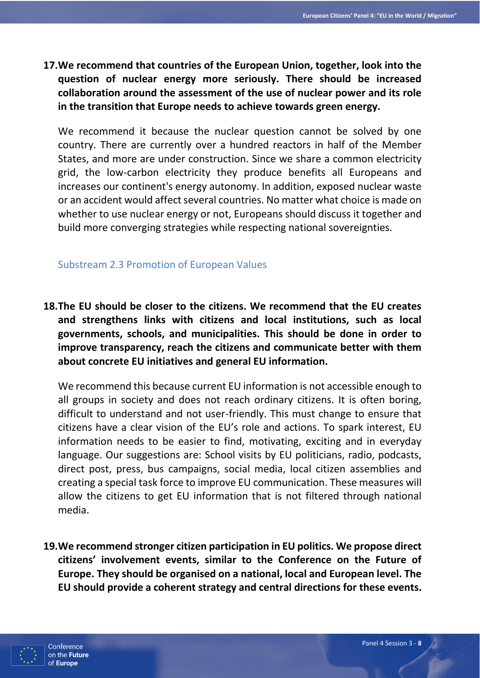**17.We recommend that countries of the European Union, together, look into the question of nuclear energy more seriously. There should be increased collaboration around the assessment of the use of nuclear power and its role in the transition that Europe needs to achieve towards green energy.**

We recommend it because the nuclear question cannot be solved by one country. There are currently over a hundred reactors in half of the Member States, and more are under construction. Since we share a common electricity grid, the low-carbon electricity they produce benefits all Europeans and increases our continent's energy autonomy. In addition, exposed nuclear waste or an accident would affect several countries. No matter what choice is made on whether to use nuclear energy or not, Europeans should discuss it together and build more converging strategies while respecting national sovereignties.

#### Substream 2.3 Promotion of European Values

**18.The EU should be closer to the citizens. We recommend that the EU creates and strengthens links with citizens and local institutions, such as local governments, schools, and municipalities. This should be done in order to improve transparency, reach the citizens and communicate better with them about concrete EU initiatives and general EU information.**

We recommend this because current EU information is not accessible enough to all groups in society and does not reach ordinary citizens. It is often boring, difficult to understand and not user-friendly. This must change to ensure that citizens have a clear vision of the EU's role and actions. To spark interest, EU information needs to be easier to find, motivating, exciting and in everyday language. Our suggestions are: School visits by EU politicians, radio, podcasts, direct post, press, bus campaigns, social media, local citizen assemblies and creating a special task force to improve EU communication. These measures will allow the citizens to get EU information that is not filtered through national media.

**19.We recommend stronger citizen participation in EU politics. We propose direct citizens' involvement events, similar to the Conference on the Future of Europe. They should be organised on a national, local and European level. The EU should provide a coherent strategy and central directions for these events.**

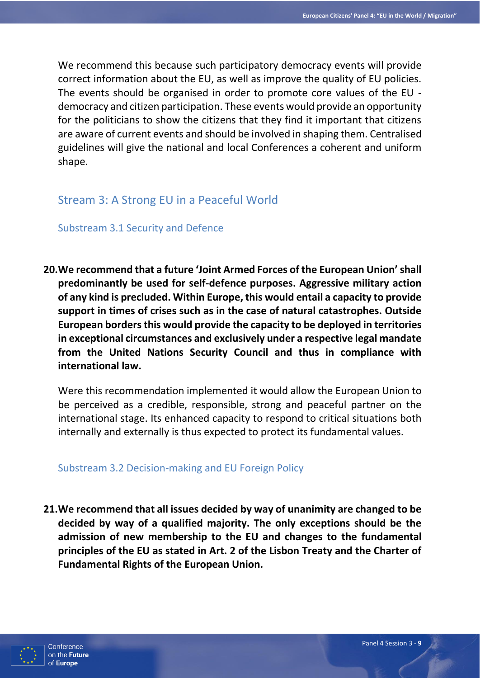We recommend this because such participatory democracy events will provide correct information about the EU, as well as improve the quality of EU policies. The events should be organised in order to promote core values of the EU democracy and citizen participation. These events would provide an opportunity for the politicians to show the citizens that they find it important that citizens are aware of current events and should be involved in shaping them. Centralised guidelines will give the national and local Conferences a coherent and uniform shape.

# Stream 3: A Strong EU in a Peaceful World

Substream 3.1 Security and Defence

**20.We recommend that a future 'Joint Armed Forces of the European Union' shall predominantly be used for self-defence purposes. Aggressive military action of any kind is precluded. Within Europe, this would entail a capacity to provide support in times of crises such as in the case of natural catastrophes. Outside European borders this would provide the capacity to be deployed in territories in exceptional circumstances and exclusively under a respective legal mandate from the United Nations Security Council and thus in compliance with international law.**

Were this recommendation implemented it would allow the European Union to be perceived as a credible, responsible, strong and peaceful partner on the international stage. Its enhanced capacity to respond to critical situations both internally and externally is thus expected to protect its fundamental values.

## Substream 3.2 Decision-making and EU Foreign Policy

**21.We recommend that all issues decided by way of unanimity are changed to be decided by way of a qualified majority. The only exceptions should be the admission of new membership to the EU and changes to the fundamental principles of the EU as stated in Art. 2 of the Lisbon Treaty and the Charter of Fundamental Rights of the European Union.**

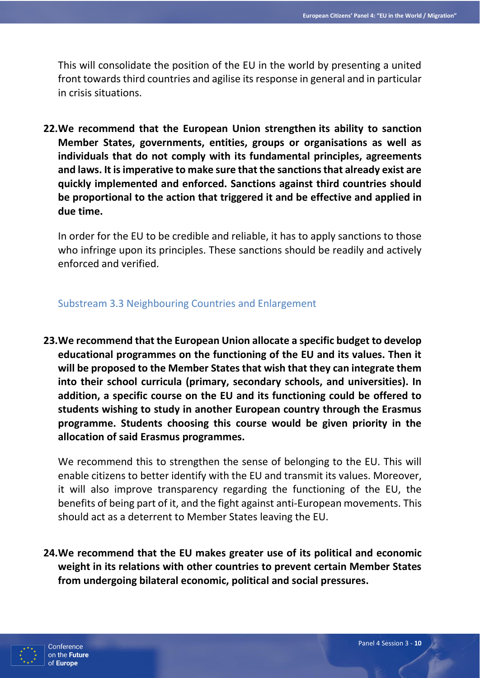This will consolidate the position of the EU in the world by presenting a united front towards third countries and agilise its response in general and in particular in crisis situations.

**22.We recommend that the European Union strengthen its ability to sanction Member States, governments, entities, groups or organisations as well as individuals that do not comply with its fundamental principles, agreements and laws. It is imperative to make sure that the sanctions that already exist are quickly implemented and enforced. Sanctions against third countries should be proportional to the action that triggered it and be effective and applied in due time.**

In order for the EU to be credible and reliable, it has to apply sanctions to those who infringe upon its principles. These sanctions should be readily and actively enforced and verified.

## Substream 3.3 Neighbouring Countries and Enlargement

**23.We recommend that the European Union allocate a specific budget to develop educational programmes on the functioning of the EU and its values. Then it will be proposed to the Member States that wish that they can integrate them into their school curricula (primary, secondary schools, and universities). In addition, a specific course on the EU and its functioning could be offered to students wishing to study in another European country through the Erasmus programme. Students choosing this course would be given priority in the allocation of said Erasmus programmes.**

We recommend this to strengthen the sense of belonging to the EU. This will enable citizens to better identify with the EU and transmit its values. Moreover, it will also improve transparency regarding the functioning of the EU, the benefits of being part of it, and the fight against anti-European movements. This should act as a deterrent to Member States leaving the EU.

**24.We recommend that the EU makes greater use of its political and economic weight in its relations with other countries to prevent certain Member States from undergoing bilateral economic, political and social pressures.**

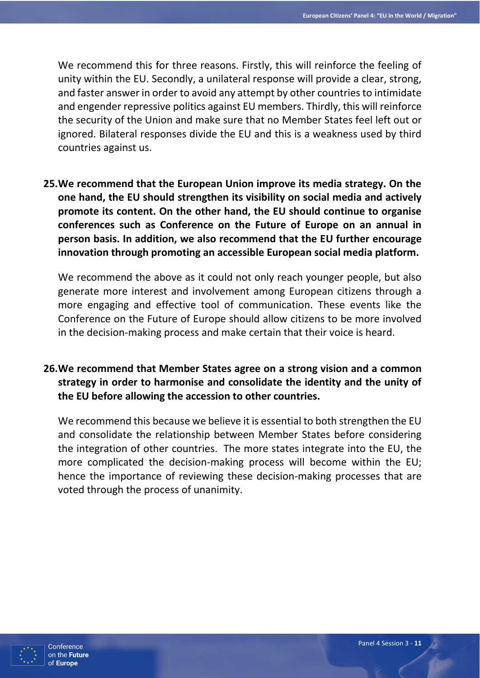We recommend this for three reasons. Firstly, this will reinforce the feeling of unity within the EU. Secondly, a unilateral response will provide a clear, strong, and faster answer in order to avoid any attempt by other countries to intimidate and engender repressive politics against EU members. Thirdly, this will reinforce the security of the Union and make sure that no Member States feel left out or ignored. Bilateral responses divide the EU and this is a weakness used by third countries against us.

**25.We recommend that the European Union improve its media strategy. On the one hand, the EU should strengthen its visibility on social media and actively promote its content. On the other hand, the EU should continue to organise conferences such as Conference on the Future of Europe on an annual in person basis. In addition, we also recommend that the EU further encourage innovation through promoting an accessible European social media platform.**

We recommend the above as it could not only reach younger people, but also generate more interest and involvement among European citizens through a more engaging and effective tool of communication. These events like the Conference on the Future of Europe should allow citizens to be more involved in the decision-making process and make certain that their voice is heard.

**26.We recommend that Member States agree on a strong vision and a common strategy in order to harmonise and consolidate the identity and the unity of the EU before allowing the accession to other countries.**

We recommend this because we believe it is essential to both strengthen the EU and consolidate the relationship between Member States before considering the integration of other countries. The more states integrate into the EU, the more complicated the decision-making process will become within the EU; hence the importance of reviewing these decision-making processes that are voted through the process of unanimity.

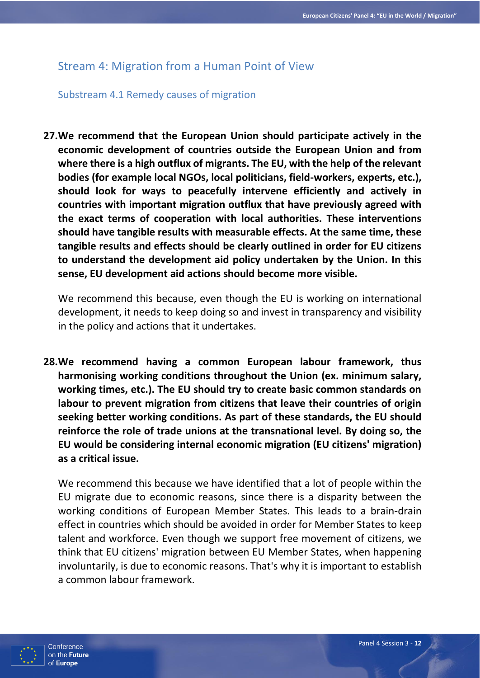# Stream 4: Migration from a Human Point of View

## Substream 4.1 Remedy causes of migration

**27.We recommend that the European Union should participate actively in the economic development of countries outside the European Union and from where there is a high outflux of migrants. The EU, with the help of the relevant bodies (for example local NGOs, local politicians, field-workers, experts, etc.), should look for ways to peacefully intervene efficiently and actively in countries with important migration outflux that have previously agreed with the exact terms of cooperation with local authorities. These interventions should have tangible results with measurable effects. At the same time, these tangible results and effects should be clearly outlined in order for EU citizens to understand the development aid policy undertaken by the Union. In this sense, EU development aid actions should become more visible.**

We recommend this because, even though the EU is working on international development, it needs to keep doing so and invest in transparency and visibility in the policy and actions that it undertakes.

**28.We recommend having a common European labour framework, thus harmonising working conditions throughout the Union (ex. minimum salary, working times, etc.). The EU should try to create basic common standards on labour to prevent migration from citizens that leave their countries of origin seeking better working conditions. As part of these standards, the EU should reinforce the role of trade unions at the transnational level. By doing so, the EU would be considering internal economic migration (EU citizens' migration) as a critical issue.**

We recommend this because we have identified that a lot of people within the EU migrate due to economic reasons, since there is a disparity between the working conditions of European Member States. This leads to a brain-drain effect in countries which should be avoided in order for Member States to keep talent and workforce. Even though we support free movement of citizens, we think that EU citizens' migration between EU Member States, when happening involuntarily, is due to economic reasons. That's why it is important to establish a common labour framework.

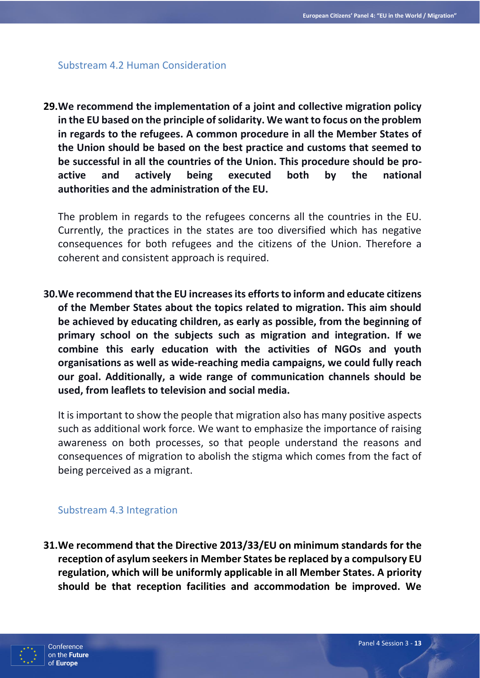#### Substream 4.2 Human Consideration

**29.We recommend the implementation of a joint and collective migration policy in the EU based on the principle of solidarity. We want to focus on the problem in regards to the refugees. A common procedure in all the Member States of the Union should be based on the best practice and customs that seemed to be successful in all the countries of the Union. This procedure should be proactive and actively being executed both by the national authorities and the administration of the EU.** 

The problem in regards to the refugees concerns all the countries in the EU. Currently, the practices in the states are too diversified which has negative consequences for both refugees and the citizens of the Union. Therefore a coherent and consistent approach is required.

**30.We recommend that the EU increases its efforts to inform and educate citizens of the Member States about the topics related to migration. This aim should be achieved by educating children, as early as possible, from the beginning of primary school on the subjects such as migration and integration. If we combine this early education with the activities of NGOs and youth organisations as well as wide-reaching media campaigns, we could fully reach our goal. Additionally, a wide range of communication channels should be used, from leaflets to television and social media.**

It is important to show the people that migration also has many positive aspects such as additional work force. We want to emphasize the importance of raising awareness on both processes, so that people understand the reasons and consequences of migration to abolish the stigma which comes from the fact of being perceived as a migrant.

#### Substream 4.3 Integration

**31.We recommend that the Directive 2013/33/EU on minimum standards for the reception of asylum seekers in Member States be replaced by a compulsory EU regulation, which will be uniformly applicable in all Member States. A priority should be that reception facilities and accommodation be improved. We** 

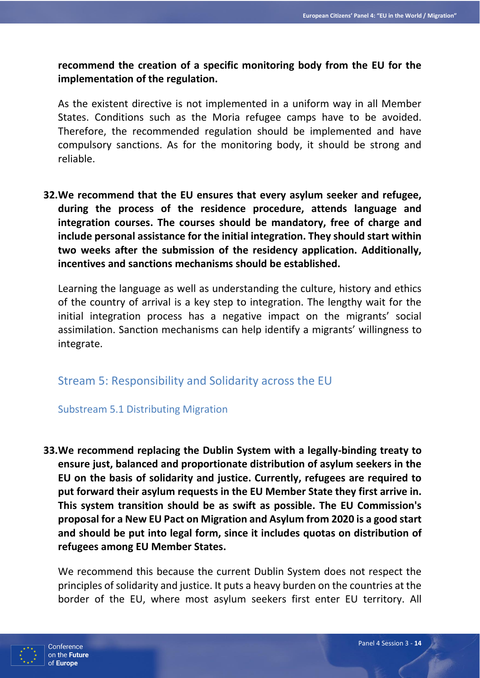**recommend the creation of a specific monitoring body from the EU for the implementation of the regulation.**

As the existent directive is not implemented in a uniform way in all Member States. Conditions such as the Moria refugee camps have to be avoided. Therefore, the recommended regulation should be implemented and have compulsory sanctions. As for the monitoring body, it should be strong and reliable.

**32.We recommend that the EU ensures that every asylum seeker and refugee, during the process of the residence procedure, attends language and integration courses. The courses should be mandatory, free of charge and include personal assistance for the initial integration. They should start within two weeks after the submission of the residency application. Additionally, incentives and sanctions mechanisms should be established.**

Learning the language as well as understanding the culture, history and ethics of the country of arrival is a key step to integration. The lengthy wait for the initial integration process has a negative impact on the migrants' social assimilation. Sanction mechanisms can help identify a migrants' willingness to integrate.

## Stream 5: Responsibility and Solidarity across the EU

## Substream 5.1 Distributing Migration

**33.We recommend replacing the Dublin System with a legally-binding treaty to ensure just, balanced and proportionate distribution of asylum seekers in the EU on the basis of solidarity and justice. Currently, refugees are required to put forward their asylum requests in the EU Member State they first arrive in. This system transition should be as swift as possible. The EU Commission's proposal for a New EU Pact on Migration and Asylum from 2020 is a good start and should be put into legal form, since it includes quotas on distribution of refugees among EU Member States.**

We recommend this because the current Dublin System does not respect the principles of solidarity and justice. It puts a heavy burden on the countries at the border of the EU, where most asylum seekers first enter EU territory. All

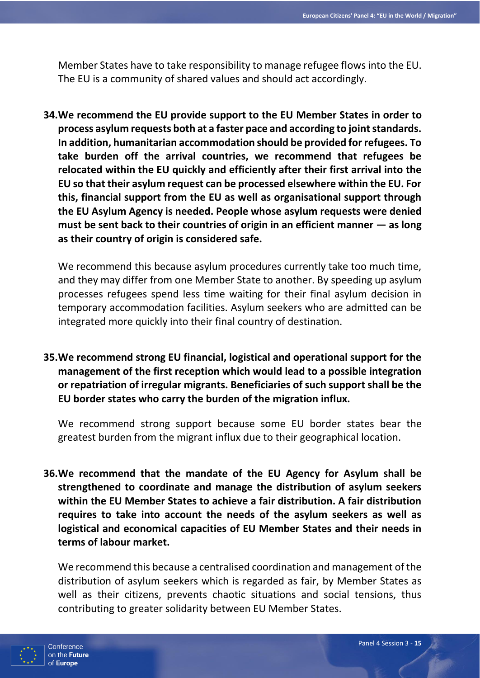Member States have to take responsibility to manage refugee flows into the EU. The EU is a community of shared values and should act accordingly.

**34.We recommend the EU provide support to the EU Member States in order to process asylum requests both at a faster pace and according to joint standards. In addition, humanitarian accommodation should be provided for refugees. To take burden off the arrival countries, we recommend that refugees be relocated within the EU quickly and efficiently after their first arrival into the EU so that their asylum request can be processed elsewhere within the EU. For this, financial support from the EU as well as organisational support through the EU Asylum Agency is needed. People whose asylum requests were denied must be sent back to their countries of origin in an efficient manner — as long as their country of origin is considered safe.**

We recommend this because asylum procedures currently take too much time, and they may differ from one Member State to another. By speeding up asylum processes refugees spend less time waiting for their final asylum decision in temporary accommodation facilities. Asylum seekers who are admitted can be integrated more quickly into their final country of destination.

**35.We recommend strong EU financial, logistical and operational support for the management of the first reception which would lead to a possible integration or repatriation of irregular migrants. Beneficiaries of such support shall be the EU border states who carry the burden of the migration influx.**

We recommend strong support because some EU border states bear the greatest burden from the migrant influx due to their geographical location.

**36.We recommend that the mandate of the EU Agency for Asylum shall be strengthened to coordinate and manage the distribution of asylum seekers within the EU Member States to achieve a fair distribution. A fair distribution requires to take into account the needs of the asylum seekers as well as logistical and economical capacities of EU Member States and their needs in terms of labour market.**

We recommend this because a centralised coordination and management of the distribution of asylum seekers which is regarded as fair, by Member States as well as their citizens, prevents chaotic situations and social tensions, thus contributing to greater solidarity between EU Member States.

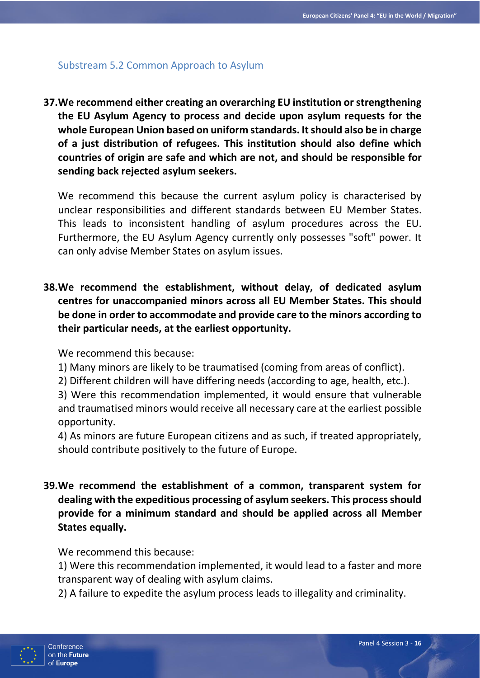## Substream 5.2 Common Approach to Asylum

**37.We recommend either creating an overarching EU institution or strengthening the EU Asylum Agency to process and decide upon asylum requests for the whole European Union based on uniform standards. It should also be in charge of a just distribution of refugees. This institution should also define which countries of origin are safe and which are not, and should be responsible for sending back rejected asylum seekers.**

We recommend this because the current asylum policy is characterised by unclear responsibilities and different standards between EU Member States. This leads to inconsistent handling of asylum procedures across the EU. Furthermore, the EU Asylum Agency currently only possesses "soft" power. It can only advise Member States on asylum issues.

**38.We recommend the establishment, without delay, of dedicated asylum centres for unaccompanied minors across all EU Member States. This should be done in order to accommodate and provide care to the minors according to their particular needs, at the earliest opportunity.**

We recommend this because:

- 1) Many minors are likely to be traumatised (coming from areas of conflict).
- 2) Different children will have differing needs (according to age, health, etc.).

3) Were this recommendation implemented, it would ensure that vulnerable and traumatised minors would receive all necessary care at the earliest possible opportunity.

4) As minors are future European citizens and as such, if treated appropriately, should contribute positively to the future of Europe.

**39.We recommend the establishment of a common, transparent system for dealing with the expeditious processing of asylum seekers. This process should provide for a minimum standard and should be applied across all Member States equally.**

We recommend this because:

1) Were this recommendation implemented, it would lead to a faster and more transparent way of dealing with asylum claims.

2) A failure to expedite the asylum process leads to illegality and criminality.

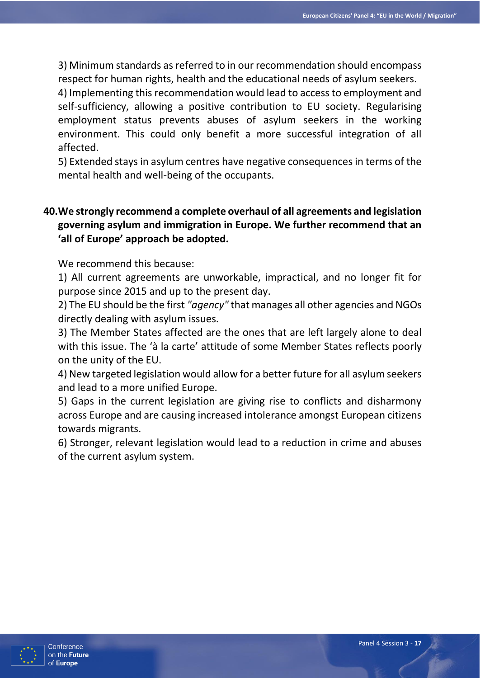3) Minimum standards as referred to in our recommendation should encompass respect for human rights, health and the educational needs of asylum seekers.

4) Implementing this recommendation would lead to access to employment and self-sufficiency, allowing a positive contribution to EU society. Regularising employment status prevents abuses of asylum seekers in the working environment. This could only benefit a more successful integration of all affected.

5) Extended stays in asylum centres have negative consequences in terms of the mental health and well-being of the occupants.

# **40.We strongly recommend a complete overhaul of all agreements and legislation governing asylum and immigration in Europe. We further recommend that an 'all of Europe' approach be adopted.**

We recommend this because:

1) All current agreements are unworkable, impractical, and no longer fit for purpose since 2015 and up to the present day.

2) The EU should be the first *"agency"* that manages all other agencies and NGOs directly dealing with asylum issues.

3) The Member States affected are the ones that are left largely alone to deal with this issue. The 'à la carte' attitude of some Member States reflects poorly on the unity of the EU.

4) New targeted legislation would allow for a better future for all asylum seekers and lead to a more unified Europe.

5) Gaps in the current legislation are giving rise to conflicts and disharmony across Europe and are causing increased intolerance amongst European citizens towards migrants.

6) Stronger, relevant legislation would lead to a reduction in crime and abuses of the current asylum system.

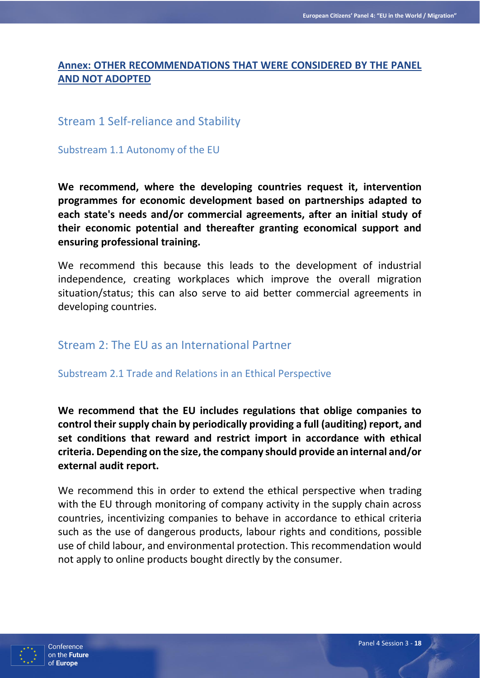## **Annex: OTHER RECOMMENDATIONS THAT WERE CONSIDERED BY THE PANEL AND NOT ADOPTED**

# Stream 1 Self-reliance and Stability

Substream 1.1 Autonomy of the EU

**We recommend, where the developing countries request it, intervention programmes for economic development based on partnerships adapted to each state's needs and/or commercial agreements, after an initial study of their economic potential and thereafter granting economical support and ensuring professional training.**

We recommend this because this leads to the development of industrial independence, creating workplaces which improve the overall migration situation/status; this can also serve to aid better commercial agreements in developing countries.

## Stream 2: The EU as an International Partner

Substream 2.1 Trade and Relations in an Ethical Perspective

**We recommend that the EU includes regulations that oblige companies to control their supply chain by periodically providing a full (auditing) report, and set conditions that reward and restrict import in accordance with ethical criteria. Depending on the size, the company should provide an internal and/or external audit report.**

We recommend this in order to extend the ethical perspective when trading with the EU through monitoring of company activity in the supply chain across countries, incentivizing companies to behave in accordance to ethical criteria such as the use of dangerous products, labour rights and conditions, possible use of child labour, and environmental protection. This recommendation would not apply to online products bought directly by the consumer.

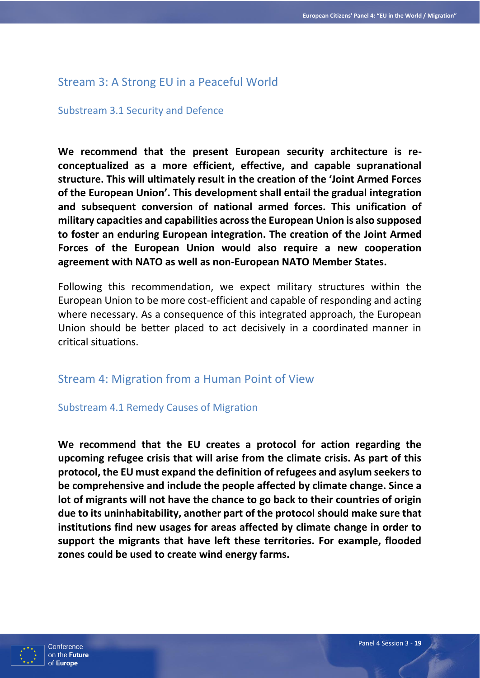## Stream 3: A Strong EU in a Peaceful World

#### Substream 3.1 Security and Defence

**We recommend that the present European security architecture is reconceptualized as a more efficient, effective, and capable supranational structure. This will ultimately result in the creation of the 'Joint Armed Forces of the European Union'. This development shall entail the gradual integration and subsequent conversion of national armed forces. This unification of military capacities and capabilities across the European Union is also supposed to foster an enduring European integration. The creation of the Joint Armed Forces of the European Union would also require a new cooperation agreement with NATO as well as non-European NATO Member States.**

Following this recommendation, we expect military structures within the European Union to be more cost-efficient and capable of responding and acting where necessary. As a consequence of this integrated approach, the European Union should be better placed to act decisively in a coordinated manner in critical situations.

## Stream 4: Migration from a Human Point of View

### Substream 4.1 Remedy Causes of Migration

**We recommend that the EU creates a protocol for action regarding the upcoming refugee crisis that will arise from the climate crisis. As part of this protocol, the EU must expand the definition of refugees and asylum seekers to be comprehensive and include the people affected by climate change. Since a lot of migrants will not have the chance to go back to their countries of origin due to its uninhabitability, another part of the protocol should make sure that institutions find new usages for areas affected by climate change in order to support the migrants that have left these territories. For example, flooded zones could be used to create wind energy farms.**